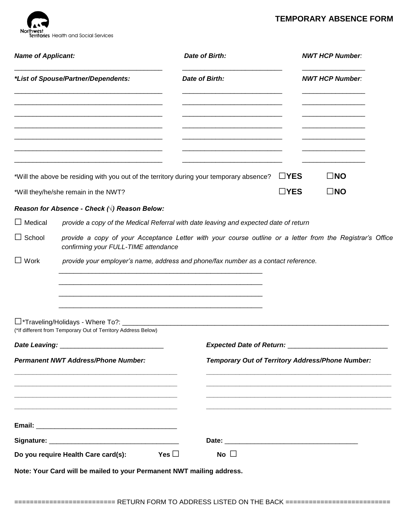## **TEMPORARY ABSENCE FORM**



| <b>Name of Applicant:</b>       | Date of Birth:                                                                                                                                    |                                            | <b>NWT HCP Number:</b>                           |
|---------------------------------|---------------------------------------------------------------------------------------------------------------------------------------------------|--------------------------------------------|--------------------------------------------------|
|                                 | *List of Spouse/Partner/Dependents:<br>Date of Birth:                                                                                             |                                            | <b>NWT HCP Number:</b>                           |
|                                 |                                                                                                                                                   |                                            |                                                  |
|                                 | *Will the above be residing with you out of the territory during your temporary absence?                                                          | $\Box$ YES                                 | $\square$ NO                                     |
|                                 | *Will they/he/she remain in the NWT?                                                                                                              | $\Box$ YES                                 | $\square$ NO                                     |
|                                 | Reason for Absence - Check $(\forall)$ Reason Below:                                                                                              |                                            |                                                  |
| $\Box$ Medical                  |                                                                                                                                                   |                                            |                                                  |
|                                 | provide a copy of the Medical Referral with date leaving and expected date of return                                                              |                                            |                                                  |
|                                 | provide a copy of your Acceptance Letter with your course outline or a letter from the Registrar's Office<br>confirming your FULL-TIME attendance |                                            |                                                  |
|                                 | provide your employer's name, address and phone/fax number as a contact reference.                                                                |                                            |                                                  |
|                                 |                                                                                                                                                   |                                            |                                                  |
| $\Box$ School<br>$\square$ Work |                                                                                                                                                   |                                            |                                                  |
|                                 |                                                                                                                                                   |                                            |                                                  |
|                                 | □*Traveling/Holidays - Where To?: ____<br>(*If different from Temporary Out of Territory Address Below)                                           |                                            |                                                  |
|                                 | Date Leaving: _________________                                                                                                                   | Expected Date of Return: _________________ |                                                  |
|                                 | <b>Permanent NWT Address/Phone Number:</b>                                                                                                        |                                            | Temporary Out of Territory Address/Phone Number: |
|                                 |                                                                                                                                                   |                                            |                                                  |
|                                 |                                                                                                                                                   |                                            |                                                  |
|                                 |                                                                                                                                                   |                                            |                                                  |
|                                 |                                                                                                                                                   |                                            |                                                  |